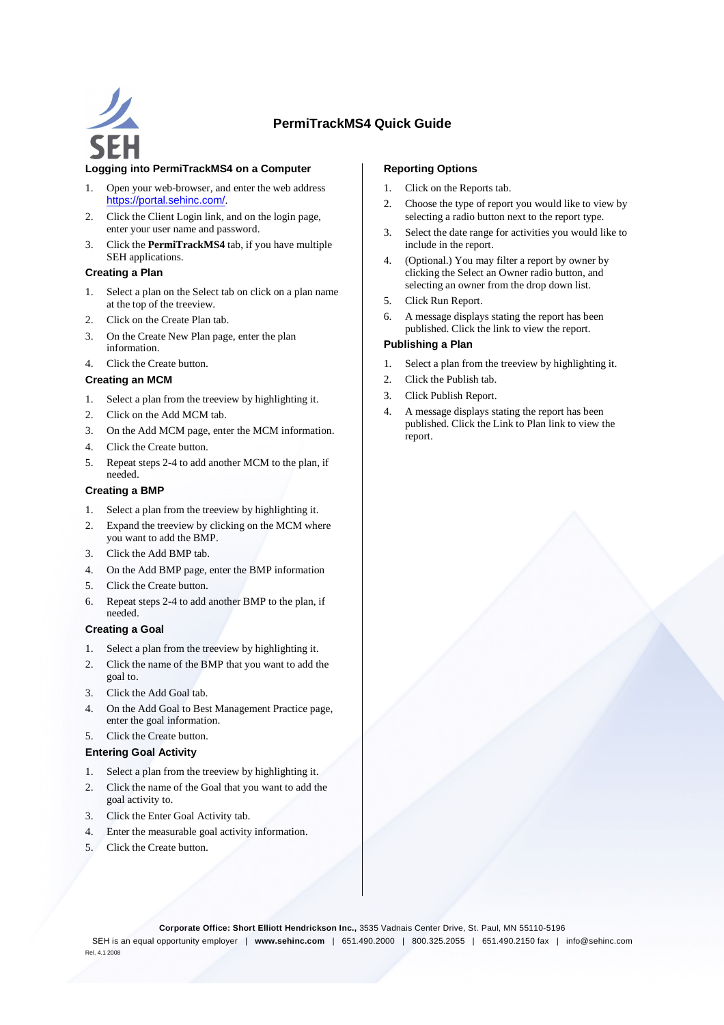

# **PermiTrackMS4 Quick Guide**

## **Logging into PermiTrackMS4 on a Computer**

- 1. Open your web-browser, and enter the web address https://portal.sehinc.com/.
- 2. Click the Client Login link, and on the login page, enter your user name and password.
- 3. Click the **PermiTrackMS4** tab, if you have multiple SEH applications.

#### **Creating a Plan**

- 1. Select a plan on the Select tab on click on a plan name at the top of the treeview.
- 2. Click on the Create Plan tab.
- 3. On the Create New Plan page, enter the plan information.
- 4. Click the Create button.

### **Creating an MCM**

- 1. Select a plan from the treeview by highlighting it.
- 2. Click on the Add MCM tab.
- 3. On the Add MCM page, enter the MCM information.
- 4. Click the Create button.
- 5. Repeat steps 2-4 to add another MCM to the plan, if needed.

#### **Creating a BMP**

- 1. Select a plan from the treeview by highlighting it.
- 2. Expand the treeview by clicking on the MCM where you want to add the BMP.
- 3. Click the Add BMP tab.
- 4. On the Add BMP page, enter the BMP information
- 5. Click the Create button.
- 6. Repeat steps 2-4 to add another BMP to the plan, if needed.

#### **Creating a Goal**

- 1. Select a plan from the treeview by highlighting it.
- 2. Click the name of the BMP that you want to add the goal to.
- 3. Click the Add Goal tab.
- 4. On the Add Goal to Best Management Practice page, enter the goal information.
- 5. Click the Create button.

#### **Entering Goal Activity**

- 1. Select a plan from the treeview by highlighting it.
- 2. Click the name of the Goal that you want to add the goal activity to.
- 3. Click the Enter Goal Activity tab.
- 4. Enter the measurable goal activity information.
- 5. Click the Create button.

#### **Reporting Options**

- 1. Click on the Reports tab.
- 2. Choose the type of report you would like to view by selecting a radio button next to the report type.
- 3. Select the date range for activities you would like to include in the report.
- 4. (Optional.) You may filter a report by owner by clicking the Select an Owner radio button, and selecting an owner from the drop down list.
- 5. Click Run Report.
- 6. A message displays stating the report has been published. Click the link to view the report.

#### **Publishing a Plan**

- 1. Select a plan from the treeview by highlighting it.
- 2. Click the Publish tab.
- 3. Click Publish Report.
- 4. A message displays stating the report has been published. Click the Link to Plan link to view the report.